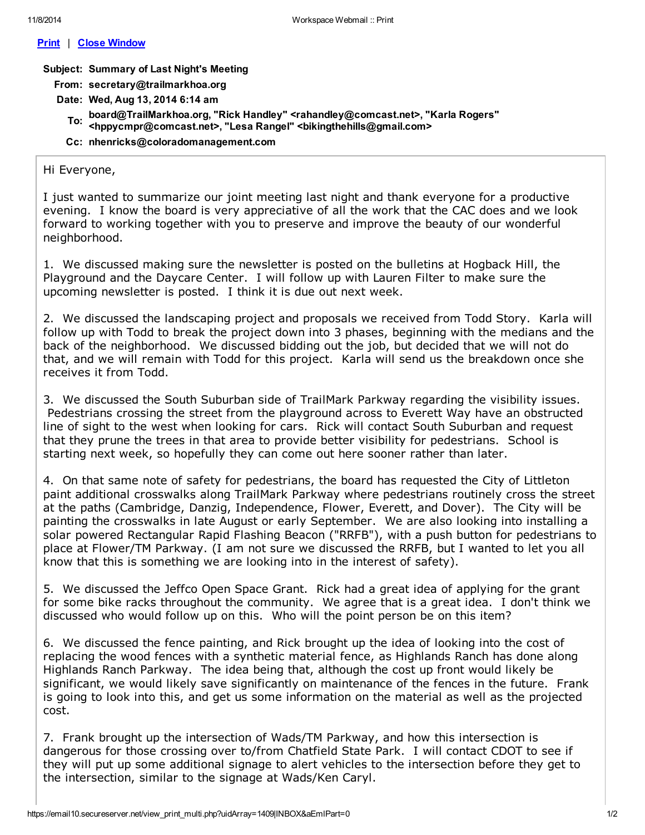### Print | Close Window

# Subject: Summary of Last Night's Meeting

From: secretary@trailmarkhoa.org

- Date: Wed, Aug 13, 2014 6:14 am
	- \_\_\_\_board@TrailMarkhoa.org, "Rick Handley" <rahandley@comcast.net>, "Karla Rogers"<br>To: ∠bnnyemnr@eemeeet.net>, "Lees Bangel" ∠bikingthebille@emeil.com> <hppycmpr@comcast.net>, "Lesa Rangel" <bikingthehills@gmail.com>
	- Cc: nhenricks@coloradomanagement.com

# Hi Everyone,

I just wanted to summarize our joint meeting last night and thank everyone for a productive evening. I know the board is very appreciative of all the work that the CAC does and we look forward to working together with you to preserve and improve the beauty of our wonderful neighborhood.

1. We discussed making sure the newsletter is posted on the bulletins at Hogback Hill, the Playground and the Daycare Center. I will follow up with Lauren Filter to make sure the upcoming newsletter is posted. I think it is due out next week.

2. We discussed the landscaping project and proposals we received from Todd Story. Karla will follow up with Todd to break the project down into 3 phases, beginning with the medians and the back of the neighborhood. We discussed bidding out the job, but decided that we will not do that, and we will remain with Todd for this project. Karla will send us the breakdown once she receives it from Todd.

3. We discussed the South Suburban side of TrailMark Parkway regarding the visibility issues. Pedestrians crossing the street from the playground across to Everett Way have an obstructed line of sight to the west when looking for cars. Rick will contact South Suburban and request that they prune the trees in that area to provide better visibility for pedestrians. School is starting next week, so hopefully they can come out here sooner rather than later.

4. On that same note of safety for pedestrians, the board has requested the City of Littleton paint additional crosswalks along TrailMark Parkway where pedestrians routinely cross the street at the paths (Cambridge, Danzig, Independence, Flower, Everett, and Dover). The City will be painting the crosswalks in late August or early September. We are also looking into installing a solar powered Rectangular Rapid Flashing Beacon ("RRFB"), with a push button for pedestrians to place at Flower/TM Parkway. (I am not sure we discussed the RRFB, but I wanted to let you all know that this is something we are looking into in the interest of safety).

5. We discussed the Jeffco Open Space Grant. Rick had a great idea of applying for the grant for some bike racks throughout the community. We agree that is a great idea. I don't think we discussed who would follow up on this. Who will the point person be on this item?

6. We discussed the fence painting, and Rick brought up the idea of looking into the cost of replacing the wood fences with a synthetic material fence, as Highlands Ranch has done along Highlands Ranch Parkway. The idea being that, although the cost up front would likely be significant, we would likely save significantly on maintenance of the fences in the future. Frank is going to look into this, and get us some information on the material as well as the projected cost.

7. Frank brought up the intersection of Wads/TM Parkway, and how this intersection is dangerous for those crossing over to/from Chatfield State Park. I will contact CDOT to see if they will put up some additional signage to alert vehicles to the intersection before they get to the intersection, similar to the signage at Wads/Ken Caryl.